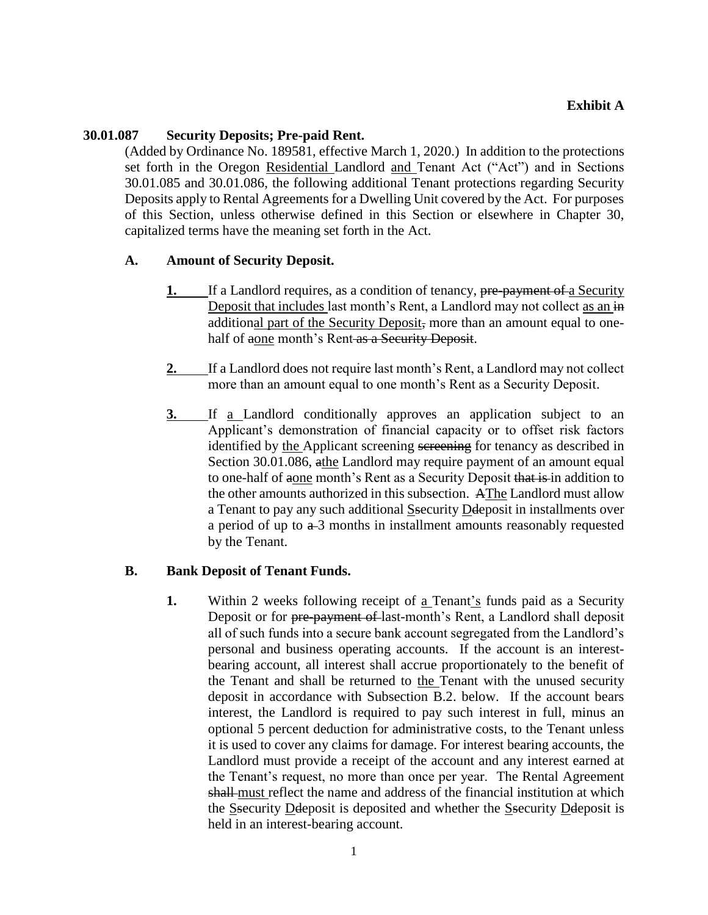## **30.01.087 Security Deposits; Pre-paid Rent.**

(Added by Ordinance No. 189581, effective March 1, 2020.) In addition to the protections set forth in the Oregon Residential Landlord and Tenant Act ("Act") and in Sections 30.01.085 and 30.01.086, the following additional Tenant protections regarding Security Deposits apply to Rental Agreements for a Dwelling Unit covered by the Act. For purposes of this Section, unless otherwise defined in this Section or elsewhere in Chapter 30, capitalized terms have the meaning set forth in the Act.

## **A. Amount of Security Deposit.**

- **1.** If a Landlord requires, as a condition of tenancy, pre-payment of a Security Deposit that includes last month's Rent, a Landlord may not collect as an in additional part of the Security Deposit, more than an amount equal to onehalf of aone month's Rent as a Security Deposit.
- **2.** If a Landlord does not require last month's Rent, a Landlord may not collect more than an amount equal to one month's Rent as a Security Deposit.
- **3.** If a Landlord conditionally approves an application subject to an Applicant's demonstration of financial capacity or to offset risk factors identified by the Applicant screening screening for tenancy as described in Section 30.01.086, athe Landlord may require payment of an amount equal to one-half of aone month's Rent as a Security Deposit that is in addition to the other amounts authorized in this subsection. AThe Landlord must allow a Tenant to pay any such additional Ssecurity Ddeposit in installments over a period of up to  $\alpha$ -3 months in installment amounts reasonably requested by the Tenant.

## **B. Bank Deposit of Tenant Funds.**

**1.** Within 2 weeks following receipt of a Tenant's funds paid as a Security Deposit or for pre-payment of last-month's Rent, a Landlord shall deposit all of such funds into a secure bank account segregated from the Landlord's personal and business operating accounts. If the account is an interestbearing account, all interest shall accrue proportionately to the benefit of the Tenant and shall be returned to the Tenant with the unused security deposit in accordance with Subsection B.2. below. If the account bears interest, the Landlord is required to pay such interest in full, minus an optional 5 percent deduction for administrative costs, to the Tenant unless it is used to cover any claims for damage. For interest bearing accounts, the Landlord must provide a receipt of the account and any interest earned at the Tenant's request, no more than once per year. The Rental Agreement shall must reflect the name and address of the financial institution at which the Ssecurity Ddeposit is deposited and whether the Ssecurity Ddeposit is held in an interest-bearing account.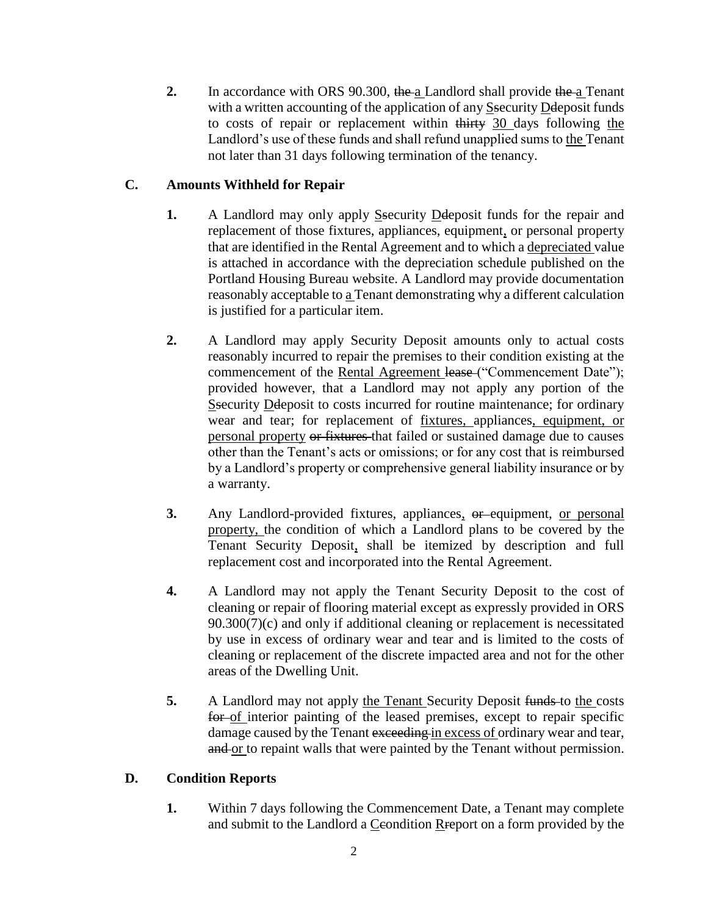**2.** In accordance with ORS 90.300, the a Landlord shall provide the a Tenant with a written accounting of the application of any Ssecurity Deleposit funds to costs of repair or replacement within thirty 30 days following the Landlord's use of these funds and shall refund unapplied sums to the Tenant not later than 31 days following termination of the tenancy.

# **C. Amounts Withheld for Repair**

- **1.** A Landlord may only apply Ssecurity Deleposit funds for the repair and replacement of those fixtures, appliances, equipment, or personal property that are identified in the Rental Agreement and to which a depreciated value is attached in accordance with the depreciation schedule published on the Portland Housing Bureau website. A Landlord may provide documentation reasonably acceptable to a Tenant demonstrating why a different calculation is justified for a particular item.
- **2.** A Landlord may apply Security Deposit amounts only to actual costs reasonably incurred to repair the premises to their condition existing at the commencement of the Rental Agreement lease ("Commencement Date"); provided however, that a Landlord may not apply any portion of the Ssecurity Ddeposit to costs incurred for routine maintenance; for ordinary wear and tear; for replacement of fixtures, appliances, equipment, or personal property or fixtures that failed or sustained damage due to causes other than the Tenant's acts or omissions; or for any cost that is reimbursed by a Landlord's property or comprehensive general liability insurance or by a warranty.
- **3.** Any Landlord-provided fixtures, appliances, or equipment, or personal property, the condition of which a Landlord plans to be covered by the Tenant Security Deposit, shall be itemized by description and full replacement cost and incorporated into the Rental Agreement.
- **4.** A Landlord may not apply the Tenant Security Deposit to the cost of cleaning or repair of flooring material except as expressly provided in ORS 90.300(7)(c) and only if additional cleaning or replacement is necessitated by use in excess of ordinary wear and tear and is limited to the costs of cleaning or replacement of the discrete impacted area and not for the other areas of the Dwelling Unit.
- **5.** A Landlord may not apply the Tenant Security Deposit funds to the costs for of interior painting of the leased premises, except to repair specific damage caused by the Tenant exceeding in excess of ordinary wear and tear, and or to repaint walls that were painted by the Tenant without permission.

# **D. Condition Reports**

**1.** Within 7 days following the Commencement Date, a Tenant may complete and submit to the Landlord a Ceondition Reeport on a form provided by the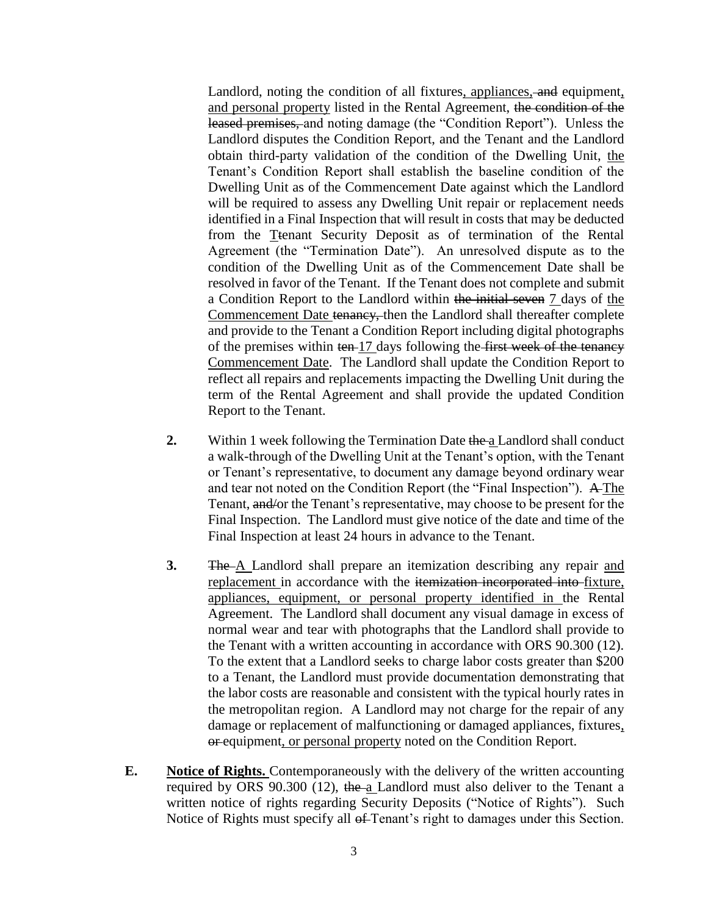Landlord, noting the condition of all fixtures, appliances, and equipment, and personal property listed in the Rental Agreement, the condition of the leased premises, and noting damage (the "Condition Report"). Unless the Landlord disputes the Condition Report, and the Tenant and the Landlord obtain third-party validation of the condition of the Dwelling Unit, the Tenant's Condition Report shall establish the baseline condition of the Dwelling Unit as of the Commencement Date against which the Landlord will be required to assess any Dwelling Unit repair or replacement needs identified in a Final Inspection that will result in costs that may be deducted from the Ttenant Security Deposit as of termination of the Rental Agreement (the "Termination Date"). An unresolved dispute as to the condition of the Dwelling Unit as of the Commencement Date shall be resolved in favor of the Tenant. If the Tenant does not complete and submit a Condition Report to the Landlord within the initial seven 7 days of the Commencement Date tenancy, then the Landlord shall thereafter complete and provide to the Tenant a Condition Report including digital photographs of the premises within ten 17 days following the first week of the tenancy Commencement Date. The Landlord shall update the Condition Report to reflect all repairs and replacements impacting the Dwelling Unit during the term of the Rental Agreement and shall provide the updated Condition Report to the Tenant.

- **2.** Within 1 week following the Termination Date the a Landlord shall conduct a walk-through of the Dwelling Unit at the Tenant's option, with the Tenant or Tenant's representative, to document any damage beyond ordinary wear and tear not noted on the Condition Report (the "Final Inspection"). A The Tenant, and/or the Tenant's representative, may choose to be present for the Final Inspection. The Landlord must give notice of the date and time of the Final Inspection at least 24 hours in advance to the Tenant.
- **3.** The A Landlord shall prepare an itemization describing any repair and replacement in accordance with the itemization incorporated into fixture, appliances, equipment, or personal property identified in the Rental Agreement. The Landlord shall document any visual damage in excess of normal wear and tear with photographs that the Landlord shall provide to the Tenant with a written accounting in accordance with ORS 90.300 (12). To the extent that a Landlord seeks to charge labor costs greater than \$200 to a Tenant, the Landlord must provide documentation demonstrating that the labor costs are reasonable and consistent with the typical hourly rates in the metropolitan region. A Landlord may not charge for the repair of any damage or replacement of malfunctioning or damaged appliances, fixtures, or equipment, or personal property noted on the Condition Report.
- **E. Notice of Rights.** Contemporaneously with the delivery of the written accounting required by ORS 90.300 (12), the a Landlord must also deliver to the Tenant a written notice of rights regarding Security Deposits ("Notice of Rights"). Such Notice of Rights must specify all  $\theta$  Tenant's right to damages under this Section.